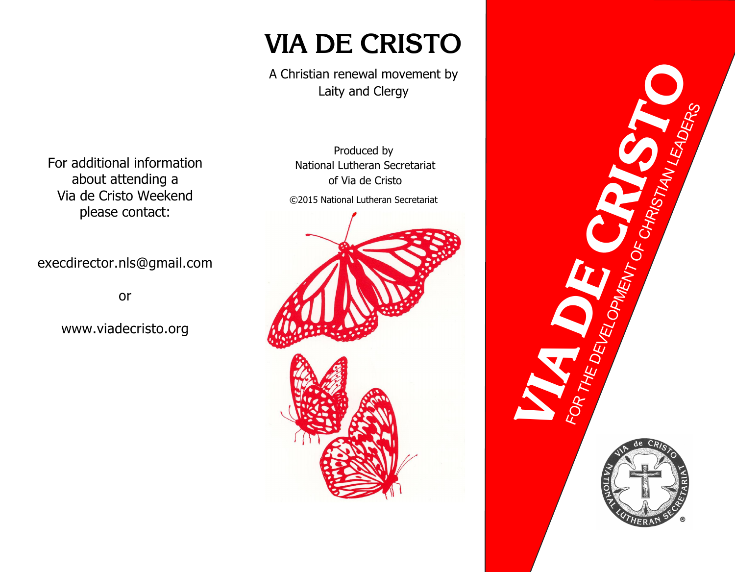# **VIA DE CRISTO**

A Christian renewal movement by Laity and Clergy

For additional information about attending a Via de Cristo Weekend please contact:

execdirector.nls@gmail.com

or

www.viadecristo.org

Produced by National Lutheran Secretariat of Via de Cristo